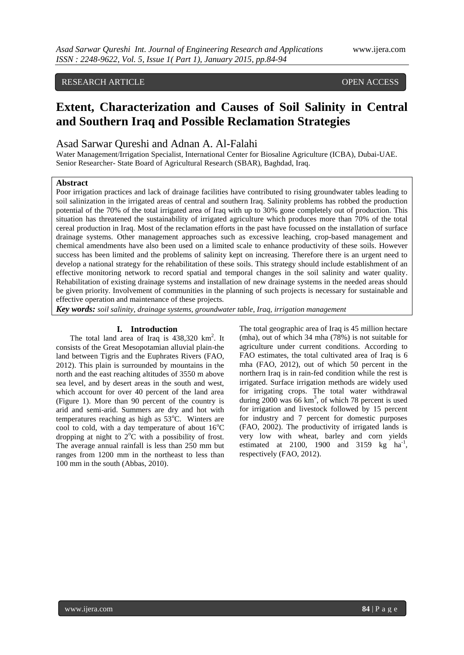# RESEARCH ARTICLE **CONSERVERS** OPEN ACCESS

# **Extent, Characterization and Causes of Soil Salinity in Central and Southern Iraq and Possible Reclamation Strategies**

# Asad Sarwar Qureshi and Adnan A. Al-Falahi

Water Management/Irrigation Specialist, International Center for Biosaline Agriculture (ICBA), Dubai-UAE. Senior Researcher- State Board of Agricultural Research (SBAR), Baghdad, Iraq.

# **Abstract**

Poor irrigation practices and lack of drainage facilities have contributed to rising groundwater tables leading to soil salinization in the irrigated areas of central and southern Iraq. Salinity problems has robbed the production potential of the 70% of the total irrigated area of Iraq with up to 30% gone completely out of production. This situation has threatened the sustainability of irrigated agriculture which produces more than 70% of the total cereal production in Iraq. Most of the reclamation efforts in the past have focussed on the installation of surface drainage systems. Other management approaches such as excessive leaching, crop-based management and chemical amendments have also been used on a limited scale to enhance productivity of these soils. However success has been limited and the problems of salinity kept on increasing. Therefore there is an urgent need to develop a national strategy for the rehabilitation of these soils. This strategy should include establishment of an effective monitoring network to record spatial and temporal changes in the soil salinity and water quality. Rehabilitation of existing drainage systems and installation of new drainage systems in the needed areas should be given priority. Involvement of communities in the planning of such projects is necessary for sustainable and effective operation and maintenance of these projects.

*Key words: soil salinity, drainage systems, groundwater table, Iraq, irrigation management* 

#### **I. Introduction**

The total land area of Iraq is  $438,320$  km<sup>2</sup>. It consists of the Great Mesopotamian alluvial plain-the land between Tigris and the Euphrates Rivers (FAO, 2012). This plain is surrounded by mountains in the north and the east reaching altitudes of 3550 m above sea level, and by desert areas in the south and west, which account for over 40 percent of the land area (Figure 1). More than 90 percent of the country is arid and semi-arid. Summers are dry and hot with temperatures reaching as high as  $53^{\circ}$ C. Winters are cool to cold, with a day temperature of about  $16^{\circ}$ C dropping at night to  $2^{\circ}$ C with a possibility of frost. The average annual rainfall is less than 250 mm but ranges from 1200 mm in the northeast to less than 100 mm in the south (Abbas, 2010).

The total geographic area of Iraq is 45 million hectare (mha), out of which 34 mha (78%) is not suitable for agriculture under current conditions. According to FAO estimates, the total cultivated area of Iraq is 6 mha (FAO, 2012), out of which 50 percent in the northern Iraq is in rain-fed condition while the rest is irrigated. Surface irrigation methods are widely used for irrigating crops. The total water withdrawal during  $2000$  was 66 km<sup>3</sup>, of which 78 percent is used for irrigation and livestock followed by 15 percent for industry and 7 percent for domestic purposes (FAO, 2002). The productivity of irrigated lands is very low with wheat, barley and corn yields estimated at 2100, 1900 and 3159  $\text{kg}$  ha<sup>-1</sup>, respectively (FAO, 2012).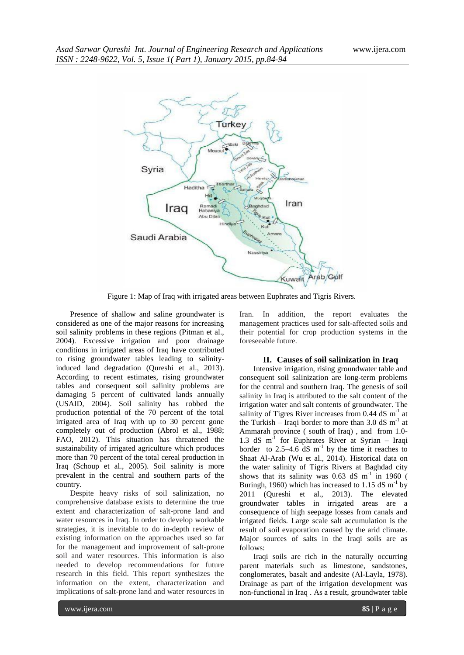

Figure 1: Map of Iraq with irrigated areas between Euphrates and Tigris Rivers.

Presence of shallow and saline groundwater is considered as one of the major reasons for increasing soil salinity problems in these regions (Pitman et al., 2004). Excessive irrigation and poor drainage conditions in irrigated areas of Iraq have contributed to rising groundwater tables leading to salinityinduced land degradation (Qureshi et al., 2013). According to recent estimates, rising groundwater tables and consequent soil salinity problems are damaging 5 percent of cultivated lands annually (USAID, 2004). Soil salinity has robbed the production potential of the 70 percent of the total irrigated area of Iraq with up to 30 percent gone completely out of production (Abrol et al., 1988; FAO, 2012). This situation has threatened the sustainability of irrigated agriculture which produces more than 70 percent of the total cereal production in Iraq (Schoup et al., 2005). Soil salinity is more prevalent in the central and southern parts of the country.

Despite heavy risks of soil salinization, no comprehensive database exists to determine the true extent and characterization of salt-prone land and water resources in Iraq. In order to develop workable strategies, it is inevitable to do in-depth review of existing information on the approaches used so far for the management and improvement of salt-prone soil and water resources. This information is also needed to develop recommendations for future research in this field. This report synthesizes the information on the extent, characterization and implications of salt-prone land and water resources in

Iran. In addition, the report evaluates the management practices used for salt-affected soils and their potential for crop production systems in the foreseeable future.

### **II. Causes of soil salinization in Iraq**

Intensive irrigation, rising groundwater table and consequent soil salinization are long-term problems for the central and southern Iraq. The genesis of soil salinity in Iraq is attributed to the salt content of the irrigation water and salt contents of groundwater. The salinity of Tigres River increases from  $0.44$  dS m<sup>-1</sup> at the Turkish – Iraqi border to more than  $3.0 \text{ dS m}^{-1}$  at Ammarah province ( south of Iraq) , and from 1.0- 1.3 dS m-1 for Euphrates River at Syrian – Iraqi border to  $2.5-4.6$  dS  $m^{-1}$  by the time it reaches to Shaat Al-Arab (Wu et al., 2014). Historical data on the water salinity of Tigris Rivers at Baghdad city shows that its salinity was  $0.63$  dS m<sup>-1</sup> in 1960 ( Buringh, 1960) which has increased to 1.15 dS  $\text{m}^{\text{-}1}$  by 2011 (Qureshi et al., 2013). The elevated groundwater tables in irrigated areas are a consequence of high seepage losses from canals and irrigated fields. Large scale salt accumulation is the result of soil evaporation caused by the arid climate. Major sources of salts in the Iraqi soils are as follows:

Iraqi soils are rich in the naturally occurring parent materials such as limestone, sandstones, conglomerates, basalt and andesite (Al-Layla, 1978). Drainage as part of the irrigation development was non-functional in Iraq . As a result, groundwater table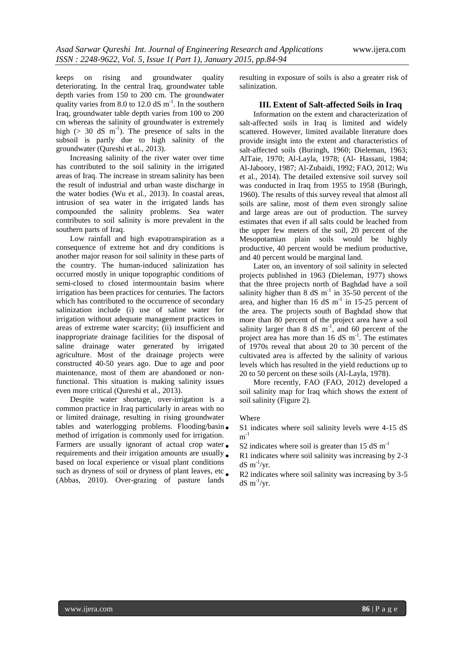keeps on rising and groundwater quality deteriorating. In the central Iraq, groundwater table depth varies from 150 to 200 cm. The groundwater quality varies from  $8.0$  to  $12.0$  dS  $m^{-1}$ . In the southern Iraq, groundwater table depth varies from 100 to 200 cm whereas the salinity of groundwater is extremely high ( $> 30$  dS m<sup>-1</sup>). The presence of salts in the subsoil is partly due to high salinity of the groundwater (Qureshi et al., 2013).

Increasing salinity of the river water over time has contributed to the soil salinity in the irrigated areas of Iraq. The increase in stream salinity has been the result of industrial and urban waste discharge in the water bodies (Wu et al., 2013). In coastal areas, intrusion of sea water in the irrigated lands has compounded the salinity problems. Sea water contributes to soil salinity is more prevalent in the southern parts of Iraq.

Low rainfall and high evapotranspiration as a consequence of extreme hot and dry conditions is another major reason for soil salinity in these parts of the country. The human-induced salinization has occurred mostly in unique topographic conditions of semi-closed to closed intermountain basins where irrigation has been practices for centuries. The factors which has contributed to the occurrence of secondary salinization include (i) use of saline water for irrigation without adequate management practices in areas of extreme water scarcity; (ii) insufficient and inappropriate drainage facilities for the disposal of saline drainage water generated by irrigated agriculture. Most of the drainage projects were constructed 40-50 years ago. Due to age and poor maintenance, most of them are abandoned or nonfunctional. This situation is making salinity issues even more critical (Qureshi et al., 2013).

Despite water shortage, over-irrigation is a common practice in Iraq particularly in areas with no or limited drainage, resulting in rising groundwater tables and waterlogging problems. Flooding/basin. method of irrigation is commonly used for irrigation. Farmers are usually ignorant of actual crop water. requirements and their irrigation amounts are usually. based on local experience or visual plant conditions such as dryness of soil or dryness of plant leaves, etc. (Abbas, 2010). Over-grazing of pasture lands

resulting in exposure of soils is also a greater risk of salinization.

#### **III. Extent of Salt-affected Soils in Iraq**

Information on the extent and characterization of salt-affected soils in Iraq is limited and widely scattered. However, limited available literature does provide insight into the extent and characteristics of salt-affected soils (Buringh, 1960; Dieleman, 1963; AlTaie, 1970; Al-Layla, 1978; (Al- Hassani, 1984; Al-Jaboory, 1987; Al-Zubaidi, 1992; FAO, 2012; Wu et al., 2014). The detailed extensive soil survey soil was conducted in Iraq from 1955 to 1958 (Buringh, 1960). The results of this survey reveal that almost all soils are saline, most of them even strongly saline and large areas are out of production. The survey estimates that even if all salts could be leached from the upper few meters of the soil, 20 percent of the Mesopotamian plain soils would be highly productive, 40 percent would be medium productive, and 40 percent would be marginal land.

Later on, an inventory of soil salinity in selected projects published in 1963 (Dieleman, 1977) shows that the three projects north of Baghdad have a soil salinity higher than  $8 dS m<sup>-1</sup>$  in 35-50 percent of the area, and higher than  $16 \text{ dS} \text{ m}^{-1}$  in  $15\text{-}25$  percent of the area. The projects south of Baghdad show that more than 80 percent of the project area have a soil salinity larger than  $8 \text{ dS} \text{ m}^{-1}$ , and  $60 \text{ percent of the}$ project area has more than  $16 \text{ dS m}^{-1}$ . The estimates of 1970s reveal that about 20 to 30 percent of the cultivated area is affected by the salinity of various levels which has resulted in the yield reductions up to 20 to 50 percent on these soils (Al-Layla, 1978).

More recently, FAO (FAO, 2012) developed a soil salinity map for Iraq which shows the extent of soil salinity (Figure 2).

#### Where

 S1 indicates where soil salinity levels were 4-15 dS  $m^{-1}$ 

- S2 indicates where soil is greater than  $15 \text{ dS m}^{-1}$
- R1 indicates where soil salinity was increasing by 2-3  $dS \text{ m}^{-1}/\text{yr}$ .
- R2 indicates where soil salinity was increasing by 3-5  $dS \text{ m}^{-1}/\text{yr}$ .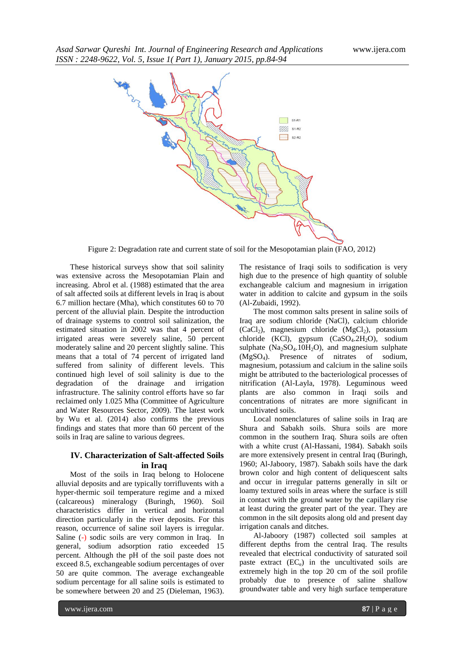

Figure 2: Degradation rate and current state of soil for the Mesopotamian plain (FAO, 2012)

These historical surveys show that soil salinity was extensive across the Mesopotamian Plain and increasing. Abrol et al. (1988) estimated that the area of salt affected soils at different levels in Iraq is about 6.7 million hectare (Mha), which constitutes 60 to 70 percent of the alluvial plain. Despite the introduction of drainage systems to control soil salinization, the estimated situation in 2002 was that 4 percent of irrigated areas were severely saline, 50 percent moderately saline and 20 percent slightly saline. This means that a total of 74 percent of irrigated land suffered from salinity of different levels. This continued high level of soil salinity is due to the degradation of the drainage and irrigation infrastructure. The salinity control efforts have so far reclaimed only 1.025 Mha (Committee of Agriculture and Water Resources Sector, 2009). The latest work by Wu et al. (2014) also confirms the previous findings and states that more than 60 percent of the soils in Iraq are saline to various degrees.

# **IV. Characterization of Salt-affected Soils in Iraq**

Most of the soils in Iraq belong to Holocene alluvial deposits and are typically torrifluvents with a hyper-thermic soil temperature regime and a mixed (calcareous) mineralogy (Buringh, 1960). Soil characteristics differ in vertical and horizontal direction particularly in the river deposits. For this reason, occurrence of saline soil layers is irregular. Saline (-) sodic soils are very common in Iraq. In general, sodium adsorption ratio exceeded 15 percent. Although the pH of the soil paste does not exceed 8.5, exchangeable sodium percentages of over 50 are quite common. The average exchangeable sodium percentage for all saline soils is estimated to be somewhere between 20 and 25 (Dieleman, 1963).

The resistance of Iraqi soils to sodification is very high due to the presence of high quantity of soluble exchangeable calcium and magnesium in irrigation water in addition to calcite and gypsum in the soils (Al-Zubaidi, 1992).

The most common salts present in saline soils of Iraq are sodium chloride (NaCl), calcium chloride  $(CaCl<sub>2</sub>)$ , magnesium chloride  $(MgCl<sub>2</sub>)$ , potassium chloride (KCl), gypsum  $(CaSO<sub>4</sub>.2H<sub>2</sub>O)$ , sodium sulphate  $(Na_2SO_4.10H_2O)$ , and magnesium sulphate (MgSO4). Presence of nitrates of sodium, magnesium, potassium and calcium in the saline soils might be attributed to the bacteriological processes of nitrification (Al-Layla, 1978). Leguminous weed plants are also common in Iraqi soils and concentrations of nitrates are more significant in uncultivated soils.

Local nomenclatures of saline soils in Iraq are Shura and Sabakh soils. Shura soils are more common in the southern Iraq. Shura soils are often with a white crust (Al-Hassani, 1984). Sabakh soils are more extensively present in central Iraq (Buringh, 1960; Al-Jaboory, 1987). Sabakh soils have the dark brown color and high content of deliquescent salts and occur in irregular patterns generally in silt or loamy textured soils in areas where the surface is still in contact with the ground water by the capillary rise at least during the greater part of the year. They are common in the silt deposits along old and present day irrigation canals and ditches.

Al-Jaboory (1987) collected soil samples at different depths from the central Iraq. The results revealed that electrical conductivity of saturated soil paste extract  $(EC_e)$  in the uncultivated soils are extremely high in the top 20 cm of the soil profile probably due to presence of saline shallow groundwater table and very high surface temperature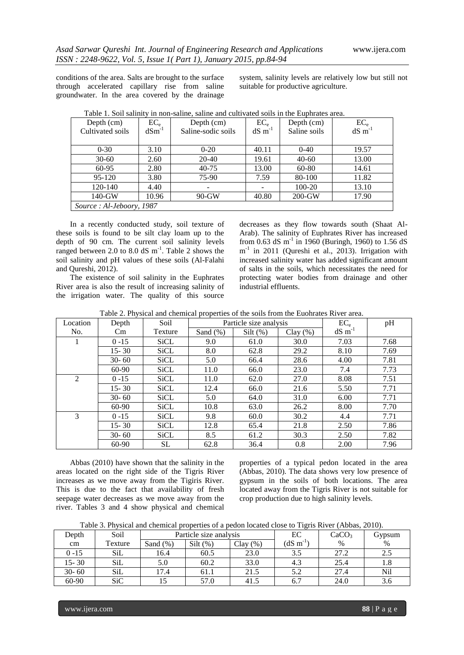conditions of the area. Salts are brought to the surface through accelerated capillary rise from saline groundwater. In the area covered by the drainage

system, salinity levels are relatively low but still not suitable for productive agriculture.

| Depth $(cm)$             | $EC_e$     | Depth (cm)         | $EC_e$                   | Depth $(cm)$ | $EC_e$<br>dS m <sup>-1</sup> |  |  |  |
|--------------------------|------------|--------------------|--------------------------|--------------|------------------------------|--|--|--|
| Cultivated soils         | $dSm^{-1}$ | Saline-sodic soils | $dS \, m^{-1}$           | Saline soils |                              |  |  |  |
|                          |            |                    |                          |              |                              |  |  |  |
| $0 - 30$                 | 3.10       | $0 - 20$           | 40.11                    | $0-40$       | 19.57                        |  |  |  |
| $30-60$                  | 2.60       | 20-40              | 19.61                    | $40 - 60$    | 13.00                        |  |  |  |
| 60-95                    | 2.80       | $40 - 75$          | 13.00                    | 60-80        | 14.61                        |  |  |  |
| 95-120                   | 3.80       | 75-90              | 7.59                     | 80-100       | 11.82                        |  |  |  |
| 120-140                  | 4.40       |                    | $\overline{\phantom{0}}$ | 100-20       | 13.10                        |  |  |  |
| $140-GW$                 | 10.96      | $90-GW$            | 40.80                    | $200$ -GW    | 17.90                        |  |  |  |
| Source: Al-Jeboory, 1987 |            |                    |                          |              |                              |  |  |  |

Table 1. Soil salinity in non-saline, saline and cultivated soils in the Euphrates area.

In a recently conducted study, soil texture of these soils is found to be silt clay loam up to the depth of 90 cm. The current soil salinity levels ranged between 2.0 to 8.0 dS  $m^{-1}$ . Table 2 shows the soil salinity and pH values of these soils (Al-Falahi and Qureshi, 2012).

The existence of soil salinity in the Euphrates River area is also the result of increasing salinity of the irrigation water. The quality of this source

decreases as they flow towards south (Shaat Al-Arab). The salinity of Euphrates River has increased from 0.63 dS m<sup>-1</sup> in 1960 (Buringh, 1960) to 1.56 dS m<sup>-1</sup> in 2011 (Qureshi et al., 2013). Irrigation with increased salinity water has added significant amount of salts in the soils, which necessitates the need for protecting water bodies from drainage and other industrial effluents.

|  | Table 2. Physical and chemical properties of the soils from the Euohrates River area. |
|--|---------------------------------------------------------------------------------------|
|--|---------------------------------------------------------------------------------------|

| Location | Depth     | Soil        | Particle size analysis |             |             | $EC_e$                | pH   |
|----------|-----------|-------------|------------------------|-------------|-------------|-----------------------|------|
| No.      | $\rm Cm$  | Texture     | Sand $(\%)$            | Silt $(\%)$ | Clay $(\%)$ | $dS \, \text{m}^{-1}$ |      |
|          | $0 - 15$  | <b>SiCL</b> | 9.0                    | 61.0        | 30.0        | 7.03                  | 7.68 |
|          | $15 - 30$ | SiCL        | 8.0                    | 62.8        | 29.2        | 8.10                  | 7.69 |
|          | $30 - 60$ | SiCL        | 5.0                    | 66.4        | 28.6        | 4.00                  | 7.81 |
|          | $60-90$   | SiCL        | 11.0                   | 66.0        | 23.0        | 7.4                   | 7.73 |
| 2        | $0 - 15$  | <b>SiCL</b> | 11.0                   | 62.0        | 27.0        | 8.08                  | 7.51 |
|          | $15 - 30$ | SiCL        | 12.4                   | 66.0        | 21.6        | 5.50                  | 7.71 |
|          | $30 - 60$ | SiCL        | 5.0                    | 64.0        | 31.0        | 6.00                  | 7.71 |
|          | $60-90$   | SiCL        | 10.8                   | 63.0        | 26.2        | 8.00                  | 7.70 |
| 3        | $0 - 15$  | SiCL        | 9.8                    | 60.0        | 30.2        | 4.4                   | 7.71 |
|          | $15 - 30$ | SiCL        | 12.8                   | 65.4        | 21.8        | 2.50                  | 7.86 |
|          | $30 - 60$ | <b>SiCL</b> | 8.5                    | 61.2        | 30.3        | 2.50                  | 7.82 |
|          | 60-90     | SL          | 62.8                   | 36.4        | 0.8         | 2.00                  | 7.96 |

Abbas (2010) have shown that the salinity in the areas located on the right side of the Tigris River increases as we move away from the Tigiris River. This is due to the fact that availability of fresh seepage water decreases as we move away from the river. Tables 3 and 4 show physical and chemical

properties of a typical pedon located in the area (Abbas, 2010). The data shows very low presence of gypsum in the soils of both locations. The area located away from the Tigris River is not suitable for crop production due to high salinity levels.

Table 3. Physical and chemical properties of a pedon located close to Tigris River (Abbas, 2010).

| Depth     | Soil       | Particle size analysis |            |         | EС               | CaCO <sub>3</sub> | Gypsum |
|-----------|------------|------------------------|------------|---------|------------------|-------------------|--------|
| cm        | Texture    | Sand $(\%)$            | $Silt(\%)$ | Clay(%) | $(dS \, m^{-1})$ | $\%$              | $\%$   |
| $0 - 15$  | SiL        | 16.4                   | 60.5       | 23.0    |                  | 27.2              | 2.5    |
| $15 - 30$ | SiL        | 5.0                    | 60.2       | 33.0    | 4.3              | 25.4              | 1.8    |
| $30 - 60$ | SiL        | 17.4                   | 61.1       | 21.5    | 5.2              | 27.4              | Nil    |
| 60-90     | <b>SiC</b> |                        | 57.0       | 41.5    | 6.7              | 24.0              | 3.6    |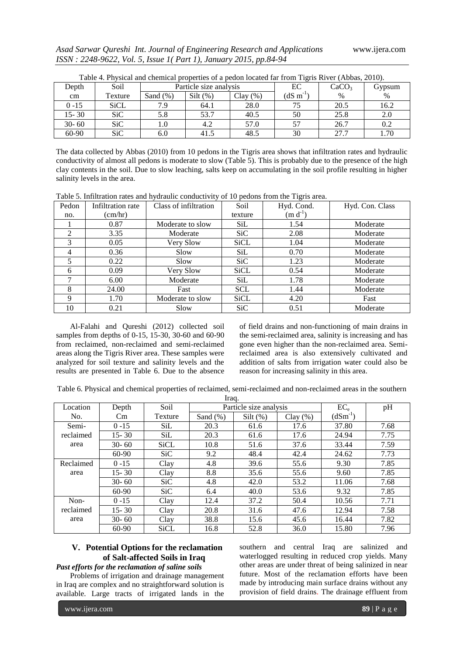| Depth     | Soil        | Taoic +. I hysical and chemical properties of a pedon focated far from Tights Kryef (Aboas, 2010).<br>Particle size analysis |            |         | ЕC               | CaCO <sub>3</sub> | Gypsum |
|-----------|-------------|------------------------------------------------------------------------------------------------------------------------------|------------|---------|------------------|-------------------|--------|
| cm        | Texture     | Sand $(\%)$                                                                                                                  | $Silt$ (%) | Clav(%) | $(dS \, m^{-1})$ | $\%$              | $\%$   |
| $0 - 15$  | <b>SiCL</b> | 79                                                                                                                           | 64.1       | 28.0    |                  | 20.5              | 16.2   |
| $15 - 30$ | SiC         | 5.8                                                                                                                          | 53.7       | 40.5    | 50               | 25.8              | 2.0    |
| $30 - 60$ | <b>SiC</b>  | 1.0                                                                                                                          | 4.2        | 57.0    |                  | 26.7              | 0.2    |
| 60-90     | SiC         | 6.0                                                                                                                          | 41.5       | 48.5    | 30               | 27.7              | 1.70   |

Table 4. Physical and chemical properties of a pedon located far from Tigris River (Abbas, 2010).

The data collected by Abbas (2010) from 10 pedons in the Tigris area shows that infiltration rates and hydraulic conductivity of almost all pedons is moderate to slow (Table 5). This is probably due to the presence of the high clay contents in the soil. Due to slow leaching, salts keep on accumulating in the soil profile resulting in higher salinity levels in the area.

| Table 5. Infiltration rates and hydraulic conductivity of 10 pedons from the Tigris area. |  |  |
|-------------------------------------------------------------------------------------------|--|--|
|                                                                                           |  |  |

| Pedon          | Infiltration rate | Class of infiltration | Soil       | $\circ$<br>Hyd. Cond. | Hyd. Con. Class |
|----------------|-------------------|-----------------------|------------|-----------------------|-----------------|
| no.            | (cm/hr)           |                       | texture    | $(m d^{-1})$          |                 |
|                | 0.87              | Moderate to slow      | <b>SiL</b> | 1.54                  | Moderate        |
| $\mathfrak{D}$ | 3.35              | Moderate              | SiC.       | 2.08                  | Moderate        |
| 3              | 0.05              | Very Slow             | SiCL       | 1.04                  | Moderate        |
| 4              | 0.36              | Slow                  | <b>SiL</b> | 0.70                  | Moderate        |
|                | 0.22              | Slow                  | SiC.       | 1.23                  | Moderate        |
| 6              | 0.09              | Very Slow             | SiCL       | 0.54                  | Moderate        |
| ⇁              | 6.00              | Moderate              | SiL        | 1.78                  | Moderate        |
| 8              | 24.00             | Fast                  | <b>SCL</b> | 1.44                  | Moderate        |
| 9              | 1.70              | Moderate to slow      | SiCL       | 4.20                  | Fast            |
| 10             | 0.21              | Slow                  | <b>SiC</b> | 0.51                  | Moderate        |

Al-Falahi and Qureshi (2012) collected soil samples from depths of 0-15, 15-30, 30-60 and 60-90 from reclaimed, non-reclaimed and semi-reclaimed areas along the Tigris River area. These samples were analyzed for soil texture and salinity levels and the results are presented in Table 6. Due to the absence

of field drains and non-functioning of main drains in the semi-reclaimed area, salinity is increasing and has gone even higher than the non-reclaimed area. Semireclaimed area is also extensively cultivated and addition of salts from irrigation water could also be reason for increasing salinity in this area.

Table 6. Physical and chemical properties of reclaimed, semi-reclaimed and non-reclaimed areas in the southern  $I_{\text{raa}}$ 

| nay.      |           |             |             |                        |         |              |      |
|-----------|-----------|-------------|-------------|------------------------|---------|--------------|------|
| Location  | Depth     | Soil        |             | Particle size analysis |         | $EC_e$       | pH   |
| No.       | $\rm Cm$  | Texture     | Sand $(\%)$ | $Silt$ (%)             | Clav(%) | $(dSm^{-1})$ |      |
| Semi-     | $0 - 15$  | <b>SiL</b>  | 20.3        | 61.6                   | 17.6    | 37.80        | 7.68 |
| reclaimed | $15 - 30$ | <b>SiL</b>  | 20.3        | 61.6                   | 17.6    | 24.94        | 7.75 |
| area      | $30 - 60$ | <b>SiCL</b> | 10.8        | 51.6                   | 37.6    | 33.44        | 7.59 |
|           | $60-90$   | SiC         | 9.2         | 48.4                   | 42.4    | 24.62        | 7.73 |
| Reclaimed | $0 - 15$  | Clay        | 4.8         | 39.6                   | 55.6    | 9.30         | 7.85 |
| area      | $15 - 30$ | Clay        | 8.8         | 35.6                   | 55.6    | 9.60         | 7.85 |
|           | $30 - 60$ | SiC         | 4.8         | 42.0                   | 53.2    | 11.06        | 7.68 |
|           | $60-90$   | SiC         | 6.4         | 40.0                   | 53.6    | 9.32         | 7.85 |
| Non-      | $0 - 15$  | Clay        | 12.4        | 37.2                   | 50.4    | 10.56        | 7.71 |
| reclaimed | $15 - 30$ | Clay        | 20.8        | 31.6                   | 47.6    | 12.94        | 7.58 |
| area      | $30 - 60$ | Clay        | 38.8        | 15.6                   | 45.6    | 16.44        | 7.82 |
|           | $60-90$   | <b>SiCL</b> | 16.8        | 52.8                   | 36.0    | 15.80        | 7.96 |

## **V. Potential Options for the reclamation of Salt-affected Soils in Iraq** *Past efforts for the reclamation of saline soils*

Problems of irrigation and drainage management in Iraq are complex and no straightforward solution is available. Large tracts of irrigated lands in the southern and central Iraq are salinized and waterlogged resulting in reduced crop yields. Many other areas are under threat of being salinized in near future. Most of the reclamation efforts have been made by introducing main surface drains without any provision of field drains. The drainage effluent from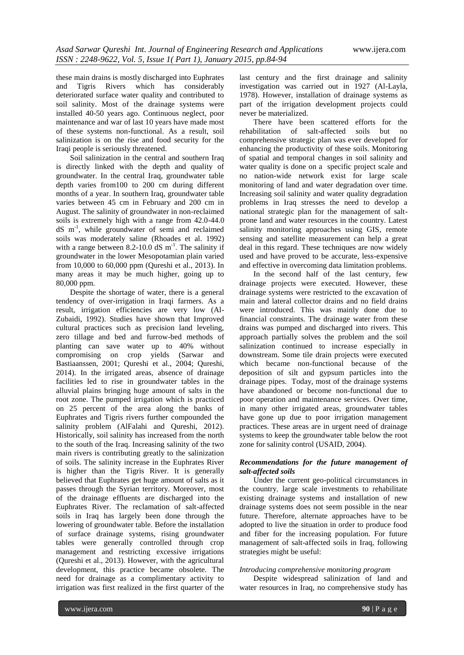these main drains is mostly discharged into Euphrates and Tigris Rivers which has considerably deteriorated surface water quality and contributed to soil salinity. Most of the drainage systems were installed 40-50 years ago. Continuous neglect, poor maintenance and war of last 10 years have made most of these systems non-functional. As a result, soil salinization is on the rise and food security for the Iraqi people is seriously threatened.

Soil salinization in the central and southern Iraq is directly linked with the depth and quality of groundwater. In the central Iraq, groundwater table depth varies from100 to 200 cm during different months of a year. In southern Iraq, groundwater table varies between 45 cm in February and 200 cm in August. The salinity of groundwater in non-reclaimed soils is extremely high with a range from 42.0-44.0 dS m-1 , while groundwater of semi and reclaimed soils was moderately saline (Rhoades et al. 1992) with a range between  $8.2 - 10.0$  dS m<sup>-1</sup>. The salinity if groundwater in the lower Mesopotamian plain varied from 10,000 to 60,000 ppm (Qureshi et al., 2013). In many areas it may be much higher, going up to 80,000 ppm.

Despite the shortage of water, there is a general tendency of over-irrigation in Iraqi farmers. As a result, irrigation efficiencies are very low (Al-Zubaidi, 1992). Studies have shown that Improved cultural practices such as precision land leveling, zero tillage and bed and furrow-bed methods of planting can save water up to 40% without compromising on crop yields (Sarwar and Bastiaanssen, 2001; Qureshi et al., 2004; Qureshi, 2014). In the irrigated areas, absence of drainage facilities led to rise in groundwater tables in the alluvial plains bringing huge amount of salts in the root zone. The pumped irrigation which is practiced on 25 percent of the area along the banks of Euphrates and Tigris rivers further compounded the salinity problem (AlFalahi and Qureshi, 2012). Historically, soil salinity has increased from the north to the south of the Iraq. Increasing salinity of the two main rivers is contributing greatly to the salinization of soils. The salinity increase in the Euphrates River is higher than the Tigris River. It is generally believed that Euphrates get huge amount of salts as it passes through the Syrian territory. Moreover, most of the drainage effluents are discharged into the Euphrates River. The reclamation of salt-affected soils in Iraq has largely been done through the lowering of groundwater table. Before the installation of surface drainage systems, rising groundwater tables were generally controlled through crop management and restricting excessive irrigations (Qureshi et al., 2013). However, with the agricultural development, this practice became obsolete. The need for drainage as a complimentary activity to irrigation was first realized in the first quarter of the

last century and the first drainage and salinity investigation was carried out in 1927 (Al-Layla, 1978). However, installation of drainage systems as part of the irrigation development projects could never be materialized.

There have been scattered efforts for the rehabilitation of salt-affected soils but no comprehensive strategic plan was ever developed for enhancing the productivity of these soils. Monitoring of spatial and temporal changes in soil salinity and water quality is done on a specific project scale and no nation-wide network exist for large scale monitoring of land and water degradation over time. Increasing soil salinity and water quality degradation problems in Iraq stresses the need to develop a national strategic plan for the management of saltprone land and water resources in the country. Latest salinity monitoring approaches using GIS, remote sensing and satellite measurement can help a great deal in this regard. These techniques are now widely used and have proved to be accurate, less-expensive and effective in overcoming data limitation problems.

In the second half of the last century, few drainage projects were executed. However, these drainage systems were restricted to the excavation of main and lateral collector drains and no field drains were introduced. This was mainly done due to financial constraints. The drainage water from these drains was pumped and discharged into rivers. This approach partially solves the problem and the soil salinization continued to increase especially in downstream. Some tile drain projects were executed which became non-functional because of the deposition of silt and gypsum particles into the drainage pipes. Today, most of the drainage systems have abandoned or become non-functional due to poor operation and maintenance services. Over time, in many other irrigated areas, groundwater tables have gone up due to poor irrigation management practices. These areas are in urgent need of drainage systems to keep the groundwater table below the root zone for salinity control (USAID, 2004).

## *Recommendations for the future management of salt-affected soils*

Under the current geo-political circumstances in the country, large scale investments to rehabilitate existing drainage systems and installation of new drainage systems does not seem possible in the near future. Therefore, alternate approaches have to be adopted to live the situation in order to produce food and fiber for the increasing population. For future management of salt-affected soils in Iraq, following strategies might be useful:

## *Introducing comprehensive monitoring program*

Despite widespread salinization of land and water resources in Iraq, no comprehensive study has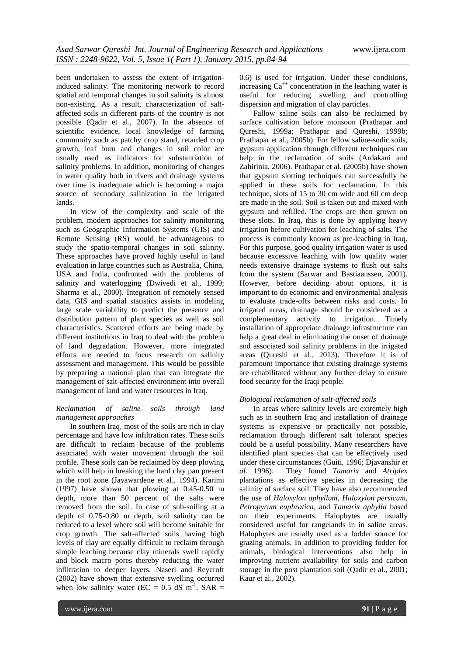been undertaken to assess the extent of irrigationinduced salinity. The monitoring network to record spatial and temporal changes in soil salinity is almost non-existing. As a result, characterization of saltaffected soils in different parts of the country is not possible (Qadir et al., 2007). In the absence of scientific evidence, local knowledge of farming community such as patchy crop stand, retarded crop growth, leaf burn and changes in soil color are usually used as indicators for substantiation of salinity problems. In addition, monitoring of changes in water quality both in rivers and drainage systems over time is inadequate which is becoming a major source of secondary salinization in the irrigated lands.

In view of the complexity and scale of the problem, modern approaches for salinity monitoring such as Geographic Information Systems (GIS) and Remote Sensing (RS) would be advantageous to study the spatio-temporal changes in soil salinity. These approaches have proved highly useful in land evaluation in large countries such as Australia, China, USA and India, confronted with the problems of salinity and waterlogging (Dwivedi et al., 1999; Sharma et al., 2000). Integration of remotely sensed data, GIS and spatial statistics assists in modeling large scale variability to predict the presence and distribution pattern of plant species as well as soil characteristics. Scattered efforts are being made by different institutions in Iraq to deal with the problem of land degradation. However, more integrated efforts are needed to focus research on salinity assessment and management. This would be possible by preparing a national plan that can integrate the management of salt-affected environment into overall management of land and water resources in Iraq.

#### *Reclamation of saline soils through land management approaches*

In southern Iraq, most of the soils are rich in clay percentage and have low infiltration rates. These soils are difficult to reclaim because of the problems associated with water movement through the soil profile. These soils can be reclaimed by deep plowing which will help in breaking the hard clay pan present in the root zone (Jayawardene et al., 1994). Karimi (1997) have shown that plowing at 0.45-0.50 m depth, more than 50 percent of the salts were removed from the soil. In case of sub-soiling at a depth of 0.75-0.80 m depth, soil salinity can be reduced to a level where soil will become suitable for crop growth. The salt-affected soils having high levels of clay are equally difficult to reclaim through simple leaching because clay minerals swell rapidly and block macro pores thereby reducing the water infiltration to deeper layers. Naseri and Reycroft (2002) have shown that extensive swelling occurred when low salinity water (EC =  $0.5$  dS m<sup>-1</sup>, SAR = 0.6) is used for irrigation. Under these conditions, increasing  $Ca^{++}$  concentration in the leaching water is useful for reducing swelling and controlling dispersion and migration of clay particles.

Fallow saline soils can also be reclaimed by surface cultivation before monsoon (Prathapar and Qureshi, 1999a; Prathapar and Qureshi, 1999b; Prathapar et al., 2005b). For fellow saline-sodic soils, gypsum application through different techniques can help in the reclamation of soils (Ardakani and Zahirinia, 2006). Prathapar et al. (2005b) have shown that gypsum slotting techniques can successfully be applied in these soils for reclamation. In this technique, slots of 15 to 30 cm wide and 60 cm deep are made in the soil. Soil is taken out and mixed with gypsum and refilled. The crops are then grown on these slots. In Iraq, this is done by applying heavy irrigation before cultivation for leaching of salts. The process is commonly known as pre-leaching in Iraq. For this purpose, good quality irrigation water is used because excessive leaching with low quality water needs extensive drainage systems to flush out salts from the system (Sarwar and Bastiaanssen, 2001). However, before deciding about options, it is important to do economic and environmental analysis to evaluate trade-offs between risks and costs. In irrigated areas, drainage should be considered as a complementary activity to irrigation. Timely installation of appropriate drainage infrastructure can help a great deal in eliminating the onset of drainage and associated soil salinity problems in the irrigated areas (Qureshi et al., 2013). Therefore it is of paramount importance that existing drainage systems are rehabilitated without any further delay to ensure food security for the Iraqi people.

## *Biological reclamation of salt-affected soils*

In areas where salinity levels are extremely high such as in southern Iraq and installation of drainage systems is expensive or practically not possible, reclamation through different salt tolerant species could be a useful possibility. Many researchers have identified plant species that can be effectively used under these circumstances (Guiti, 1996; Djavanshir *et al*. 1996). They found *Tamarix* and *Atriplex* plantations as effective species in decreasing the salinity of surface soil. They have also recommended the use of *Haloxylon aphyllum*, *Haloxylon persicum*, *Petropyrum euphratica*, and *Tamarix aphylla* based on their experiments. Halophytes are usually considered useful for rangelands in in saline areas. Halophytes are usually used as a fodder source for grazing animals. In addition to providing fodder for animals, biological interventions also help in improving nutrient availability for soils and carbon storage in the post plantation soil (Qadir et al., 2001; Kaur et al., 2002).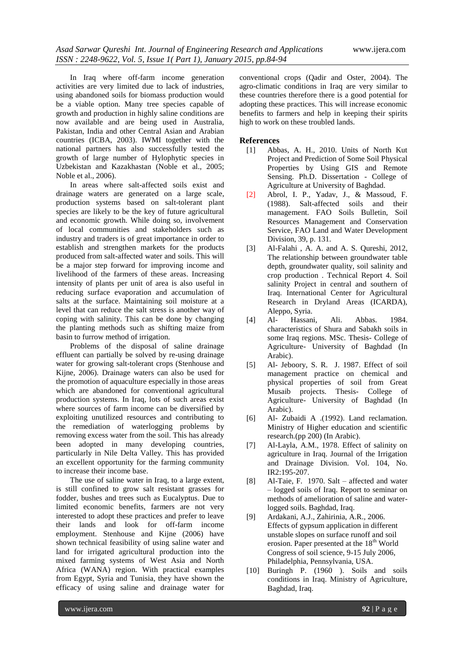In Iraq where off-farm income generation activities are very limited due to lack of industries, using abandoned soils for biomass production would be a viable option. Many tree species capable of growth and production in highly saline conditions are now available and are being used in Australia, Pakistan, India and other Central Asian and Arabian countries (ICBA, 2003). IWMI together with the national partners has also successfully tested the growth of large number of Hylophytic species in Uzbekistan and Kazakhastan (Noble et al., 2005; Noble et al., 2006).

In areas where salt-affected soils exist and drainage waters are generated on a large scale, production systems based on salt-tolerant plant species are likely to be the key of future agricultural and economic growth. While doing so, involvement of local communities and stakeholders such as industry and traders is of great importance in order to establish and strengthen markets for the products produced from salt-affected water and soils. This will be a major step forward for improving income and livelihood of the farmers of these areas. Increasing intensity of plants per unit of area is also useful in reducing surface evaporation and accumulation of salts at the surface. Maintaining soil moisture at a level that can reduce the salt stress is another way of coping with salinity. This can be done by changing the planting methods such as shifting maize from basin to furrow method of irrigation.

Problems of the disposal of saline drainage effluent can partially be solved by re-using drainage water for growing salt-tolerant crops (Stenhouse and Kijne, 2006). Drainage waters can also be used for the promotion of aquaculture especially in those areas which are abandoned for conventional agricultural production systems. In Iraq, lots of such areas exist where sources of farm income can be diversified by exploiting unutilized resources and contributing to the remediation of waterlogging problems by removing excess water from the soil. This has already been adopted in many developing countries, particularly in Nile Delta Valley. This has provided an excellent opportunity for the farming community to increase their income base.

The use of saline water in Iraq, to a large extent, is still confined to grow salt resistant grasses for fodder, bushes and trees such as Eucalyptus. Due to limited economic benefits, farmers are not very interested to adopt these practices and prefer to leave their lands and look for off-farm income employment. Stenhouse and Kijne (2006) have shown technical feasibility of using saline water and land for irrigated agricultural production into the mixed farming systems of West Asia and North Africa (WANA) region. With practical examples from Egypt, Syria and Tunisia, they have shown the efficacy of using saline and drainage water for

conventional crops (Qadir and Oster, 2004). The agro-climatic conditions in Iraq are very similar to these countries therefore there is a good potential for adopting these practices. This will increase economic benefits to farmers and help in keeping their spirits high to work on these troubled lands.

## **References**

- [1] Abbas, A. H., 2010. Units of North Kut Project and Prediction of Some Soil Physical Properties by Using GIS and Remote Sensing. Ph.D. Dissertation - College of Agriculture at University of Baghdad.
- [2] Abrol, I. P., Yadav, J., & Massoud, F. (1988). Salt-affected soils and their management. FAO Soils Bulletin, Soil Resources Management and Conservation Service, FAO Land and Water Development Division, 39, p. 131.
- [3] Al-Falahi , A. A. and A. S. Qureshi, 2012, The relationship between groundwater table depth, groundwater quality, soil salinity and crop production . Technical Report 4. Soil salinity Project in central and southern of Iraq. International Center for Agricultural Research in Dryland Areas (ICARDA), Aleppo, Syria.
- [4] Al- Hassani, Ali. Abbas. 1984. characteristics of Shura and Sabakh soils in some Iraq regions. MSc. Thesis- College of Agriculture- University of Baghdad (In Arabic).
- [5] Al- Jeboory, S. R. J. 1987. Effect of soil management practice on chemical and physical properties of soil from Great Musaib projects. Thesis- College of Agriculture- University of Baghdad (In Arabic).
- [6] Al- Zubaidi A .(1992). Land reclamation. Ministry of Higher education and scientific research.(pp 200) (In Arabic).
- [7] Al-Layla, A.M., 1978. Effect of salinity on agriculture in Iraq. Journal of the Irrigation and Drainage Division. Vol. 104, No. IR2:195-207.
- [8] Al-Taie, F. 1970. Salt affected and water – logged soils of Iraq. Report to seminar on methods of amelioration of saline and waterlogged soils. Baghdad, Iraq.
- [9] Ardakani, A.J., Zahirinia, A.R., 2006. Effects of gypsum application in different unstable slopes on surface runoff and soil erosion. Paper presented at the  $18<sup>th</sup>$  World Congress of soil science, 9-15 July 2006, Philadelphia, Pennsylvania, USA.
- [10] Buringh P. (1960 ). Soils and soils conditions in Iraq. Ministry of Agriculture, Baghdad, Iraq.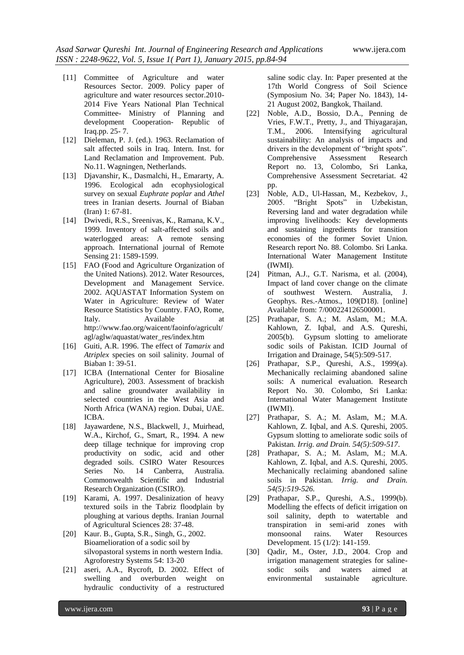- [11] Committee of Agriculture and water Resources Sector. 2009. Policy paper of agriculture and water resources sector.2010- 2014 Five Years National Plan Technical Committee- Ministry of Planning and development Cooperation- Republic of Iraq.pp. 25- 7.
- [12] Dieleman, P. J. (ed.). 1963. Reclamation of salt affected soils in Iraq. Intern. Inst. for Land Reclamation and Improvement. Pub. No.11. Wagningen, Netherlands.
- [13] Djavanshir, K., Dasmalchi, H., Emararty, A. 1996. Ecological adn ecophysiological survey on sexual *Euphrate poplar* and *Athel* trees in Iranian deserts. Journal of Biaban (Iran) 1: 67-81.
- [14] Dwivedi, R.S., Sreenivas, K., Ramana, K.V., 1999. Inventory of salt-affected soils and waterlogged areas: A remote sensing approach. International journal of Remote Sensing 21: 1589-1599.
- [15] FAO (Food and Agriculture Organization of the United Nations). 2012. Water Resources, Development and Management Service. 2002. AQUASTAT Information System on Water in Agriculture: Review of Water Resource Statistics by Country. FAO, Rome, Italy. Available at http://www.fao.org/waicent/faoinfo/agricult/ agl/aglw/aquastat/water\_res/index.htm
- [16] Guiti, A.R. 1996. The effect of *Tamarix* and *Atriplex* species on soil salinity. Journal of Biaban 1: 39-51.
- [17] ICBA (International Center for Biosaline Agriculture), 2003. Assessment of brackish and saline groundwater availability in selected countries in the West Asia and North Africa (WANA) region. Dubai, UAE. ICBA.
- [18] Jayawardene, N.S., Blackwell, J., Muirhead, W.A., Kirchof, G., Smart, R., 1994. A new deep tillage technique for improving crop productivity on sodic, acid and other degraded soils. CSIRO Water Resources Series No. 14 Canberra, Australia. Commonwealth Scientific and Industrial Research Organization (CSIRO).
- [19] Karami, A. 1997. Desalinization of heavy textured soils in the Tabriz floodplain by ploughing at various depths. Iranian Journal of Agricultural Sciences 28: 37-48.
- [20] Kaur. B., Gupta, S.R., Singh, G., 2002. Bioamelioration of a sodic soil by silvopastoral systems in north western India. Agroforestry Systems 54: 13-20
- [21] aseri, A.A., Rycroft, D. 2002. Effect of swelling and overburden weight on hydraulic conductivity of a restructured

saline sodic clay. In: Paper presented at the 17th World Congress of Soil Science (Symposium No. 34; Paper No. 1843), 14- 21 August 2002, Bangkok, Thailand.

- [22] Noble, A.D., Bossio, D.A., Penning de Vries, F.W.T., Pretty, J., and Thiyagarajan, T.M., 2006. Intensifying agricultural sustainability: An analysis of impacts and drivers in the development of "bright spots". Comprehensive Assessment Research Report no. 13, Colombo, Sri Lanka, Comprehensive Assessment Secretariat. 42 pp.
- [23] Noble, A.D., Ul-Hassan, M., Kezbekov, J., 2005. "Bright Spots" in Uzbekistan, Reversing land and water degradation while improving livelihoods: Key developments and sustaining ingredients for transition economies of the former Soviet Union. Research report No. 88. Colombo. Sri Lanka. International Water Management Institute (IWMI).
- [24] Pitman, A.J., G.T. Narisma, et al. (2004), Impact of land cover change on the climate of southwest Western. Australia, J. Geophys. Res.-Atmos., 109(D18). [online] Available from: 7/000224126500001.
- [25] Prathapar, S. A.; M. Aslam, M.; M.A. Kahlown, Z. Iqbal, and A.S. Qureshi, 2005(b). Gypsum slotting to ameliorate sodic soils of Pakistan. ICID Journal of Irrigation and Drainage, 54(5):509-517.
- [26] Prathapar, S.P., Qureshi, A.S., 1999(a). Mechanically reclaiming abandoned saline soils: A numerical evaluation. Research Report No. 30. Colombo, Sri Lanka: International Water Management Institute (IWMI).
- [27] Prathapar, S. A.; M. Aslam, M.; M.A. Kahlown, Z. Iqbal, and A.S. Qureshi, 2005. Gypsum slotting to ameliorate sodic soils of Pakistan*. Irrig. and Drain. 54(5):509-517*.
- [28] Prathapar, S. A.; M. Aslam, M.; M.A. Kahlown, Z. Iqbal, and A.S. Qureshi, 2005. Mechanically reclaiming abandoned saline soils in Pakistan*. Irrig. and Drain. 54(5):519-526.*
- [29] Prathapar, S.P., Qureshi, A.S., 1999(b). Modelling the effects of deficit irrigation on soil salinity, depth to watertable and transpiration in semi-arid zones with monsoonal rains. Water Resources Development. 15 (1/2): 141-159.
- [30] Qadir, M., Oster, J.D., 2004. Crop and irrigation management strategies for salinesodic soils and waters aimed at environmental sustainable agriculture.